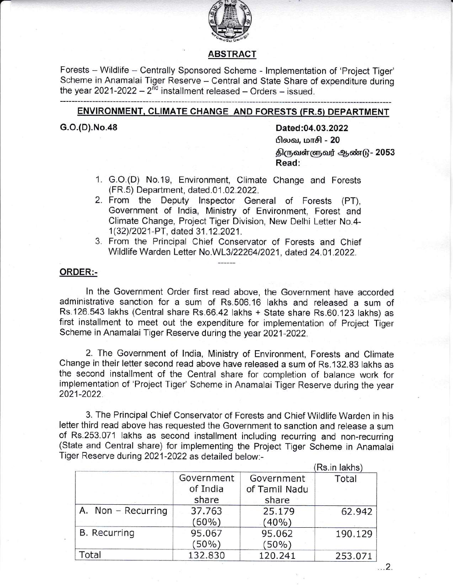

## ABSTRACT

Forests - Wildlife - Centrally Sponsored Scheme - Implementation of 'Project Tiger' Scheme in Anamalai Tiger Reserve - Central and State Share of expenditure during the year 2021-2022  $-2^{nd}$  installment released  $-$  Orders  $-$  issued.

# ENVIRONMENT, CLIMATE CHANGE AND FORESTS (FR.5) DEPARTMENT

G.O.(D).No.48 Dated:04.03.2022 **பிலவ, மாசி - 20** திருவள்ளுவர் ஆண்டு - 2053 Read:

- 1. G.O.(D) No.19, Environment, Climate Change and Forests (FR.5) Department, dated.01.02.2022.
- 2. From the Deputy lnspector General of Forests (PT), Government of lndia, Ministry of Environment, Forest and Climate Change, Project Tiger Division, New Delhi Letter No.4- <sup>1</sup>(32)12021-PT, dated 31 .12.2021 .
- 3. From the Principal Chief Conservator of Forests and Chief Wildlife Warden Letter No.WL3/2226412021, dated 24.01 .2022.

------

### ORDER:-

ln the Government Order first read above, the Government have accorded administrative sanction for a sum of Rs.506.16 lakhs and released a sum of Rs"126.543 lakhs (Central share Rs.66.42 lakhs + State share Rs.60.123 lakhs) as first installment to meet out the expenditure for implementation of Project Tiger Scheme in Anamalai Tiger Reserve during the year 2021-2022.

2. The Government of lndia, Ministry of Environment, Forests and Climate Change in their letter second read above have released a sum of Rs. 132.83lakhs as the second installment of the Central share for completion of balance work fon implementation of 'Project Tiger' Scheme in Anamalai Tiger Reserve during the year 2021-2022.

3. The Principal Chief Conservator of Forests and Chief Wildlife Warden in his letter third read above has requested the Government to sanction and release a sum of Rs.253.071 lakhs as second installment including recurring and non-recurring (State and Central share) for implementing the Project Tiger Scheme in Anamalai Tiger Reserve during 2021-2022 as detailed below:-

|                     |                                 |                                      | (Rs.in lakhs) |
|---------------------|---------------------------------|--------------------------------------|---------------|
|                     | Government<br>of India<br>share | Government<br>of Tamil Nadu<br>share | Total         |
| A. Non - Recurring  | 37.763<br>$(60\%)$              | 25.179<br>(40%)                      | 62.942        |
| <b>B.</b> Recurring | 95.067<br>$(50\%)$              | 95.062<br>$(50\%)$                   | 190.129       |
| Total               | 132.830                         | 120.241                              | 253.071       |

 $\ldots$  2.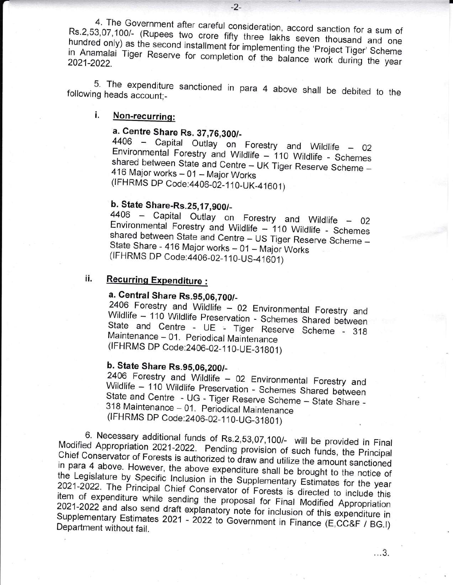4. The Government after careful consideration, accord sanction for a sum of Rs.2,53,07,100/- (Rupees two crore fifty three lakhs seven thousand and one hundred only) as the second installment for implementing the 'Project Tiger' Scheme in Anamalai Tiger Reserve for completion of the balance work during the year 2021-2022.

5. The expenditure sanctioned in para 4 above shall be debited to the following heads account;-

#### i. Non-recurring:

# a. Centre Share Rs. 37,76,300/-

4406 - Capital Outlay on Forestry and Wildlife - 02 Environmental Forestry and Wildlife - 110 Wildlife - Schemes shared between State and Centre - UK Tiger Reserve Scheme -416 Major works - 01 - Major Works (IFHRMS DP Code: 4406-02-110-UK-41601)

# b. State Share-Rs.25,17,900/-

4406 - Capital Outlay on Forestry and Wildlife - 02 Environmental Forestry and Wildlife - 110 Wildlife - Schemes shared between State and Centre - US Tiger Reserve Scheme -State Share - 416 Major works - 01 - Major Works (IFHRMS DP Code: 4406-02-110-US-41601)

#### ii. **Recurring Expenditure:**

# a. Central Share Rs.95,06,700/-

2406 Forestry and Wildlife - 02 Environmental Forestry and Wildlife - 110 Wildlife Preservation - Schemes Shared between State and Centre - UE - Tiger Reserve Scheme - 318 Maintenance - 01. Periodical Maintenance (IFHRMS DP Code: 2406-02-110-UE-31801)

# b. State Share Rs.95,06,200/-

2406 Forestry and Wildlife - 02 Environmental Forestry and Wildlife - 110 Wildlife Preservation - Schemes Shared between State and Centre - UG - Tiger Reserve Scheme - State Share -318 Maintenance - 01. Periodical Maintenance (IFHRMS DP Code: 2406-02-110-UG-31801)

6. Necessary additional funds of Rs.2,53,07,100/- will be provided in Final Modified Appropriation 2021-2022. Pending provision of such funds, the Principal Chief Conservator of Forests is authorized to draw and utilize the amount sanctioned in para 4 above. However, the above expenditure shall be brought to the notice of the Legislature by Specific Inclusion in the Supplementary Estimates for the year 2021-2022. The Principal Chief Conservator of Forests is directed to include this item of expenditure while sending the proposal for Final Modified Appropriation 2021-2022 and also send draft explanatory note for inclusion of this expenditure in Supplementary Estimates 2021 - 2022 to Government in Finance (E,CC&F / BG.I) Department without fail.